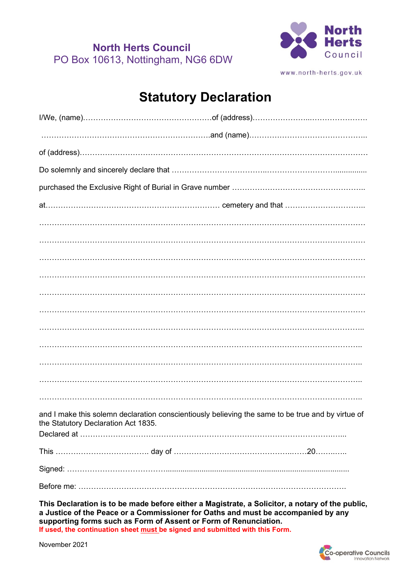**North Herts Council** PO Box 10613, Nottingham, NG6 6DW



www.north-herts.gov.uk

## **Statutory Declaration**

| and I make this solemn declaration conscientiously believing the same to be true and by virtue of<br>the Statutory Declaration Act 1835. |  |  |
|------------------------------------------------------------------------------------------------------------------------------------------|--|--|
|                                                                                                                                          |  |  |
|                                                                                                                                          |  |  |
|                                                                                                                                          |  |  |
|                                                                                                                                          |  |  |

**This Declaration is to be made before either a Magistrate, a Solicitor, a notary of the public, a Justice of the Peace or a Commissioner for Oaths and must be accompanied by any supporting forms such as Form of Assent or Form of Renunciation. If used, the continuation sheet must be signed and submitted with this Form.**

November 2021